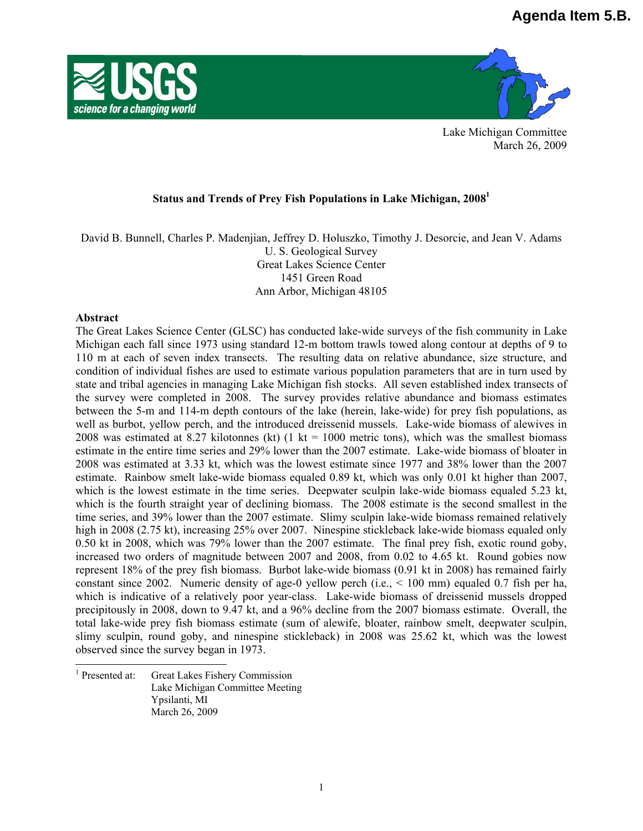



Lake Michigan Committee March 26, 2009

## **Status and Trends of Prey Fish Populations in Lake Michigan, 20081**

David B. Bunnell, Charles P. Madenjian, Jeffrey D. Holuszko, Timothy J. Desorcie, and Jean V. Adams U. S. Geological Survey Great Lakes Science Center 1451 Green Road Ann Arbor, Michigan 48105

### **Abstract**

 $\overline{\phantom{a}}$ 

The Great Lakes Science Center (GLSC) has conducted lake-wide surveys of the fish community in Lake Michigan each fall since 1973 using standard 12-m bottom trawls towed along contour at depths of 9 to 110 m at each of seven index transects. The resulting data on relative abundance, size structure, and condition of individual fishes are used to estimate various population parameters that are in turn used by state and tribal agencies in managing Lake Michigan fish stocks. All seven established index transects of the survey were completed in 2008. The survey provides relative abundance and biomass estimates between the 5-m and 114-m depth contours of the lake (herein, lake-wide) for prey fish populations, as well as burbot, yellow perch, and the introduced dreissenid mussels. Lake-wide biomass of alewives in 2008 was estimated at 8.27 kilotonnes (kt)  $(1 \text{ kt} = 1000 \text{ metric tons})$ , which was the smallest biomass estimate in the entire time series and 29% lower than the 2007 estimate. Lake-wide biomass of bloater in 2008 was estimated at 3.33 kt, which was the lowest estimate since 1977 and 38% lower than the 2007 estimate. Rainbow smelt lake-wide biomass equaled 0.89 kt, which was only 0.01 kt higher than 2007, which is the lowest estimate in the time series. Deepwater sculpin lake-wide biomass equaled 5.23 kt, which is the fourth straight year of declining biomass. The 2008 estimate is the second smallest in the time series, and 39% lower than the 2007 estimate. Slimy sculpin lake-wide biomass remained relatively high in 2008 (2.75 kt), increasing 25% over 2007. Ninespine stickleback lake-wide biomass equaled only 0.50 kt in 2008, which was 79% lower than the 2007 estimate. The final prey fish, exotic round goby, increased two orders of magnitude between 2007 and 2008, from 0.02 to 4.65 kt. Round gobies now represent 18% of the prey fish biomass. Burbot lake-wide biomass (0.91 kt in 2008) has remained fairly constant since 2002. Numeric density of age-0 yellow perch (i.e., < 100 mm) equaled 0.7 fish per ha, which is indicative of a relatively poor year-class. Lake-wide biomass of dreissenid mussels dropped precipitously in 2008, down to 9.47 kt, and a 96% decline from the 2007 biomass estimate. Overall, the total lake-wide prey fish biomass estimate (sum of alewife, bloater, rainbow smelt, deepwater sculpin, slimy sculpin, round goby, and ninespine stickleback) in 2008 was 25.62 kt, which was the lowest observed since the survey began in 1973.

<sup>1</sup> Presented at: Great Lakes Fishery Commission Lake Michigan Committee Meeting Ypsilanti, MI March 26, 2009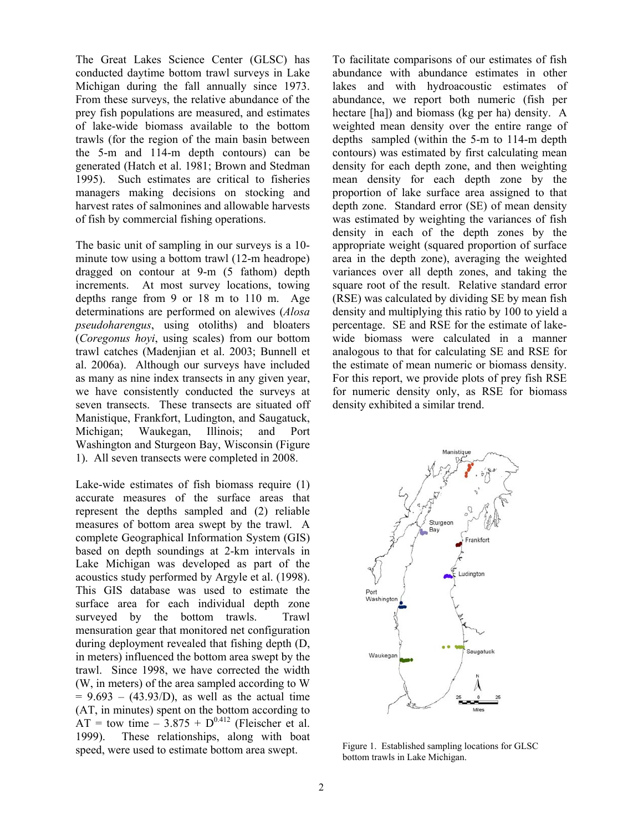The Great Lakes Science Center (GLSC) has conducted daytime bottom trawl surveys in Lake Michigan during the fall annually since 1973. From these surveys, the relative abundance of the prey fish populations are measured, and estimates of lake-wide biomass available to the bottom trawls (for the region of the main basin between the 5-m and 114-m depth contours) can be generated (Hatch et al. 1981; Brown and Stedman 1995). Such estimates are critical to fisheries managers making decisions on stocking and harvest rates of salmonines and allowable harvests of fish by commercial fishing operations.

The basic unit of sampling in our surveys is a 10 minute tow using a bottom trawl (12-m headrope) dragged on contour at 9-m (5 fathom) depth increments. At most survey locations, towing depths range from 9 or 18 m to 110 m. Age determinations are performed on alewives (*Alosa pseudoharengus*, using otoliths) and bloaters (*Coregonus hoyi*, using scales) from our bottom trawl catches (Madenjian et al. 2003; Bunnell et al. 2006a). Although our surveys have included as many as nine index transects in any given year, we have consistently conducted the surveys at seven transects. These transects are situated off Manistique, Frankfort, Ludington, and Saugatuck, Michigan; Waukegan, Illinois; and Port Washington and Sturgeon Bay, Wisconsin (Figure 1). All seven transects were completed in 2008.

Lake-wide estimates of fish biomass require (1) accurate measures of the surface areas that represent the depths sampled and (2) reliable measures of bottom area swept by the trawl. A complete Geographical Information System (GIS) based on depth soundings at 2-km intervals in Lake Michigan was developed as part of the acoustics study performed by Argyle et al. (1998). This GIS database was used to estimate the surface area for each individual depth zone surveyed by the bottom trawls. Trawl mensuration gear that monitored net configuration during deployment revealed that fishing depth (D, in meters) influenced the bottom area swept by the trawl. Since 1998, we have corrected the width (W, in meters) of the area sampled according to W  $= 9.693 - (43.93/D)$ , as well as the actual time (AT, in minutes) spent on the bottom according to  $AT =$  tow time  $-3.875 + D^{0.412}$  (Fleischer et al. 1999). These relationships, along with boat speed, were used to estimate bottom area swept.

To facilitate comparisons of our estimates of fish abundance with abundance estimates in other lakes and with hydroacoustic estimates of abundance, we report both numeric (fish per hectare [ha]) and biomass (kg per ha) density. A weighted mean density over the entire range of depths sampled (within the 5-m to 114-m depth contours) was estimated by first calculating mean density for each depth zone, and then weighting mean density for each depth zone by the proportion of lake surface area assigned to that depth zone. Standard error (SE) of mean density was estimated by weighting the variances of fish density in each of the depth zones by the appropriate weight (squared proportion of surface area in the depth zone), averaging the weighted variances over all depth zones, and taking the square root of the result. Relative standard error (RSE) was calculated by dividing SE by mean fish density and multiplying this ratio by 100 to yield a percentage. SE and RSE for the estimate of lakewide biomass were calculated in a manner analogous to that for calculating SE and RSE for the estimate of mean numeric or biomass density. For this report, we provide plots of prey fish RSE for numeric density only, as RSE for biomass density exhibited a similar trend.



Figure 1. Established sampling locations for GLSC bottom trawls in Lake Michigan.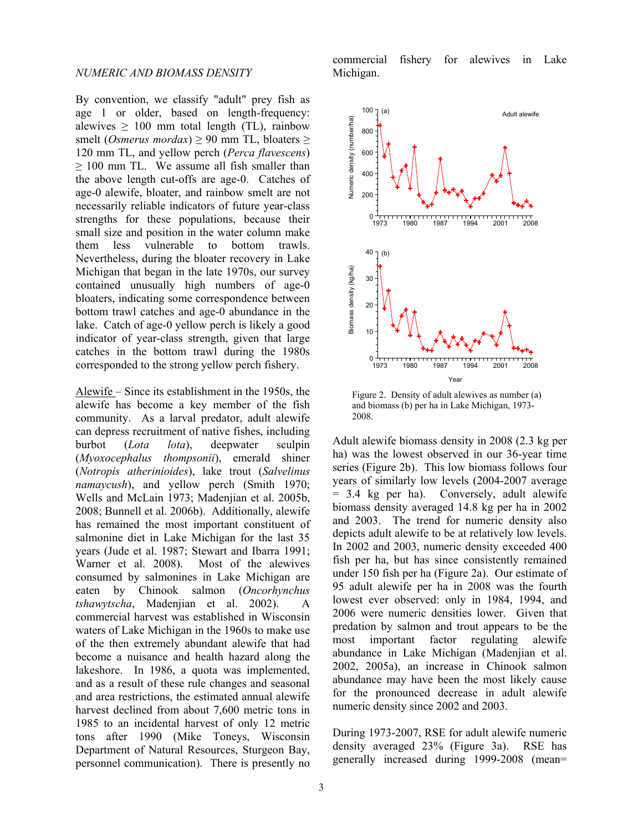By convention, we classify "adult" prey fish as age 1 or older, based on length-frequency: alewives  $\geq 100$  mm total length (TL), rainbow smelt (*Osmerus mordax*)  $\geq$  90 mm TL, bloaters  $\geq$ 120 mm TL, and yellow perch (*Perca flavescens*)  $\geq$  100 mm TL. We assume all fish smaller than the above length cut-offs are age-0. Catches of age-0 alewife, bloater, and rainbow smelt are not necessarily reliable indicators of future year-class strengths for these populations, because their small size and position in the water column make them less vulnerable to bottom trawls. Nevertheless, during the bloater recovery in Lake Michigan that began in the late 1970s, our survey contained unusually high numbers of age-0 bloaters, indicating some correspondence between bottom trawl catches and age-0 abundance in the lake. Catch of age-0 yellow perch is likely a good indicator of year-class strength, given that large catches in the bottom trawl during the 1980s corresponded to the strong yellow perch fishery.

Alewife – Since its establishment in the 1950s, the alewife has become a key member of the fish community. As a larval predator, adult alewife can depress recruitment of native fishes, including burbot (*Lota lota*), deepwater sculpin (*Myoxocephalus thompsonii*), emerald shiner (*Notropis atherinioides*), lake trout (*Salvelinus namaycush*), and yellow perch (Smith 1970; Wells and McLain 1973; Madenjian et al. 2005b, 2008; Bunnell et al. 2006b). Additionally, alewife has remained the most important constituent of salmonine diet in Lake Michigan for the last 35 years (Jude et al. 1987; Stewart and Ibarra 1991; Warner et al. 2008). Most of the alewives consumed by salmonines in Lake Michigan are eaten by Chinook salmon (*Oncorhynchus tshawytscha*, Madenjian et al. 2002). A commercial harvest was established in Wisconsin waters of Lake Michigan in the 1960s to make use of the then extremely abundant alewife that had become a nuisance and health hazard along the lakeshore. In 1986, a quota was implemented, and as a result of these rule changes and seasonal and area restrictions, the estimated annual alewife harvest declined from about 7,600 metric tons in 1985 to an incidental harvest of only 12 metric tons after 1990 (Mike Toneys, Wisconsin Department of Natural Resources, Sturgeon Bay, personnel communication). There is presently no

commercial fishery for alewives in Lake Michigan.



Figure 2. Density of adult alewives as number (a) and biomass (b) per ha in Lake Michigan, 1973- 2008.

Adult alewife biomass density in 2008 (2.3 kg per ha) was the lowest observed in our 36-year time series (Figure 2b). This low biomass follows four years of similarly low levels (2004-2007 average = 3.4 kg per ha). Conversely, adult alewife biomass density averaged 14.8 kg per ha in 2002 and 2003. The trend for numeric density also depicts adult alewife to be at relatively low levels. In 2002 and 2003, numeric density exceeded 400 fish per ha, but has since consistently remained under 150 fish per ha (Figure 2a). Our estimate of 95 adult alewife per ha in 2008 was the fourth lowest ever observed: only in 1984, 1994, and 2006 were numeric densities lower. Given that predation by salmon and trout appears to be the most important factor regulating alewife abundance in Lake Michigan (Madenjian et al. 2002, 2005a), an increase in Chinook salmon abundance may have been the most likely cause for the pronounced decrease in adult alewife numeric density since 2002 and 2003.

During 1973-2007, RSE for adult alewife numeric density averaged 23% (Figure 3a). RSE has generally increased during 1999-2008 (mean=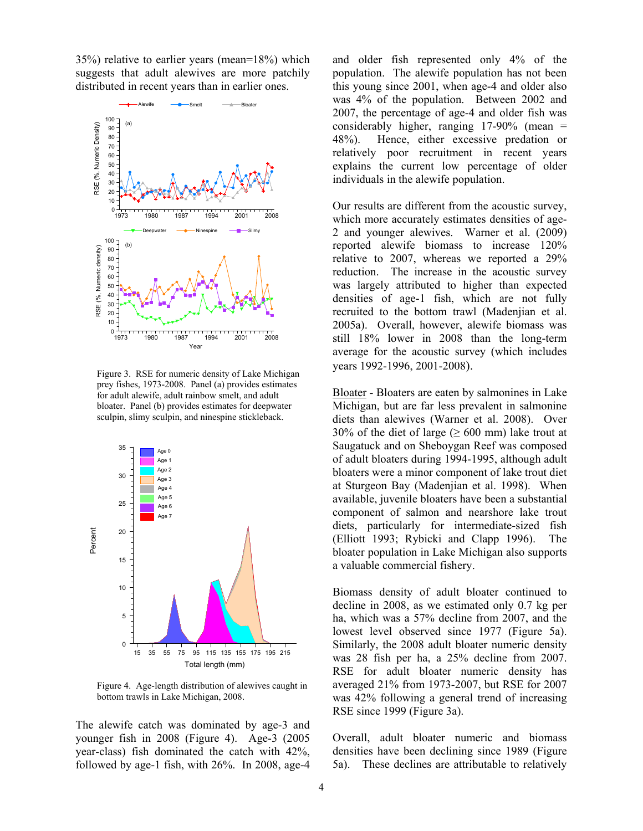35%) relative to earlier years (mean=18%) which suggests that adult alewives are more patchily distributed in recent years than in earlier ones.



Figure 3. RSE for numeric density of Lake Michigan prey fishes, 1973-2008. Panel (a) provides estimates for adult alewife, adult rainbow smelt, and adult bloater. Panel (b) provides estimates for deepwater sculpin, slimy sculpin, and ninespine stickleback.



Figure 4. Age-length distribution of alewives caught in bottom trawls in Lake Michigan, 2008.

The alewife catch was dominated by age-3 and younger fish in 2008 (Figure 4). Age-3 (2005 year-class) fish dominated the catch with 42%, followed by age-1 fish, with 26%. In 2008, age-4 and older fish represented only 4% of the population. The alewife population has not been this young since 2001, when age-4 and older also was 4% of the population. Between 2002 and 2007, the percentage of age-4 and older fish was considerably higher, ranging 17-90% (mean = 48%). Hence, either excessive predation or relatively poor recruitment in recent years explains the current low percentage of older individuals in the alewife population.

Our results are different from the acoustic survey, which more accurately estimates densities of age-2 and younger alewives. Warner et al. (2009) reported alewife biomass to increase 120% relative to 2007, whereas we reported a 29% reduction. The increase in the acoustic survey was largely attributed to higher than expected densities of age-1 fish, which are not fully recruited to the bottom trawl (Madenjian et al. 2005a). Overall, however, alewife biomass was still 18% lower in 2008 than the long-term average for the acoustic survey (which includes years 1992-1996, 2001-2008).

Bloater - Bloaters are eaten by salmonines in Lake Michigan, but are far less prevalent in salmonine diets than alewives (Warner et al. 2008). Over 30% of the diet of large ( $\geq 600$  mm) lake trout at Saugatuck and on Sheboygan Reef was composed of adult bloaters during 1994-1995, although adult bloaters were a minor component of lake trout diet at Sturgeon Bay (Madenjian et al. 1998). When available, juvenile bloaters have been a substantial component of salmon and nearshore lake trout diets, particularly for intermediate-sized fish (Elliott 1993; Rybicki and Clapp 1996). The bloater population in Lake Michigan also supports a valuable commercial fishery.

Biomass density of adult bloater continued to decline in 2008, as we estimated only 0.7 kg per ha, which was a 57% decline from 2007, and the lowest level observed since 1977 (Figure 5a). Similarly, the 2008 adult bloater numeric density was 28 fish per ha, a 25% decline from 2007. RSE for adult bloater numeric density has averaged 21% from 1973-2007, but RSE for 2007 was 42% following a general trend of increasing RSE since 1999 (Figure 3a).

Overall, adult bloater numeric and biomass densities have been declining since 1989 (Figure 5a). These declines are attributable to relatively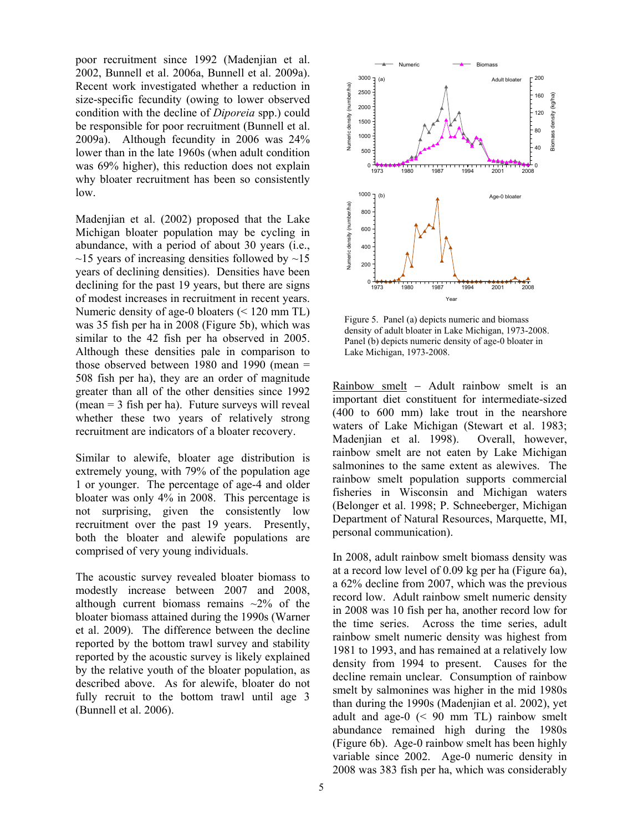poor recruitment since 1992 (Madenjian et al. 2002, Bunnell et al. 2006a, Bunnell et al. 2009a). Recent work investigated whether a reduction in size-specific fecundity (owing to lower observed condition with the decline of *Diporeia* spp.) could be responsible for poor recruitment (Bunnell et al. 2009a). Although fecundity in 2006 was 24% lower than in the late 1960s (when adult condition was 69% higher), this reduction does not explain why bloater recruitment has been so consistently low.

Madenjian et al. (2002) proposed that the Lake Michigan bloater population may be cycling in abundance, with a period of about 30 years (i.e.,  $\sim$ 15 years of increasing densities followed by  $\sim$ 15 years of declining densities). Densities have been declining for the past 19 years, but there are signs of modest increases in recruitment in recent years. Numeric density of age-0 bloaters (< 120 mm TL) was 35 fish per ha in 2008 (Figure 5b), which was similar to the 42 fish per ha observed in 2005. Although these densities pale in comparison to those observed between 1980 and 1990 (mean = 508 fish per ha), they are an order of magnitude greater than all of the other densities since 1992 (mean = 3 fish per ha). Future surveys will reveal whether these two years of relatively strong recruitment are indicators of a bloater recovery.

Similar to alewife, bloater age distribution is extremely young, with 79% of the population age 1 or younger. The percentage of age-4 and older bloater was only 4% in 2008. This percentage is not surprising, given the consistently low recruitment over the past 19 years. Presently, both the bloater and alewife populations are comprised of very young individuals.

The acoustic survey revealed bloater biomass to modestly increase between 2007 and 2008, although current biomass remains  $\sim$ 2% of the bloater biomass attained during the 1990s (Warner et al. 2009). The difference between the decline reported by the bottom trawl survey and stability reported by the acoustic survey is likely explained by the relative youth of the bloater population, as described above. As for alewife, bloater do not fully recruit to the bottom trawl until age 3 (Bunnell et al. 2006).



Figure 5. Panel (a) depicts numeric and biomass density of adult bloater in Lake Michigan, 1973-2008. Panel (b) depicts numeric density of age-0 bloater in Lake Michigan, 1973-2008.

Rainbow smelt − Adult rainbow smelt is an important diet constituent for intermediate-sized (400 to 600 mm) lake trout in the nearshore waters of Lake Michigan (Stewart et al. 1983; Madenjian et al. 1998). Overall, however, rainbow smelt are not eaten by Lake Michigan salmonines to the same extent as alewives. The rainbow smelt population supports commercial fisheries in Wisconsin and Michigan waters (Belonger et al. 1998; P. Schneeberger, Michigan Department of Natural Resources, Marquette, MI, personal communication).

In 2008, adult rainbow smelt biomass density was at a record low level of 0.09 kg per ha (Figure 6a), a 62% decline from 2007, which was the previous record low. Adult rainbow smelt numeric density in 2008 was 10 fish per ha, another record low for the time series. Across the time series, adult rainbow smelt numeric density was highest from 1981 to 1993, and has remained at a relatively low density from 1994 to present. Causes for the decline remain unclear. Consumption of rainbow smelt by salmonines was higher in the mid 1980s than during the 1990s (Madenjian et al. 2002), yet adult and age-0 (< 90 mm TL) rainbow smelt abundance remained high during the 1980s (Figure 6b). Age-0 rainbow smelt has been highly variable since 2002. Age-0 numeric density in 2008 was 383 fish per ha, which was considerably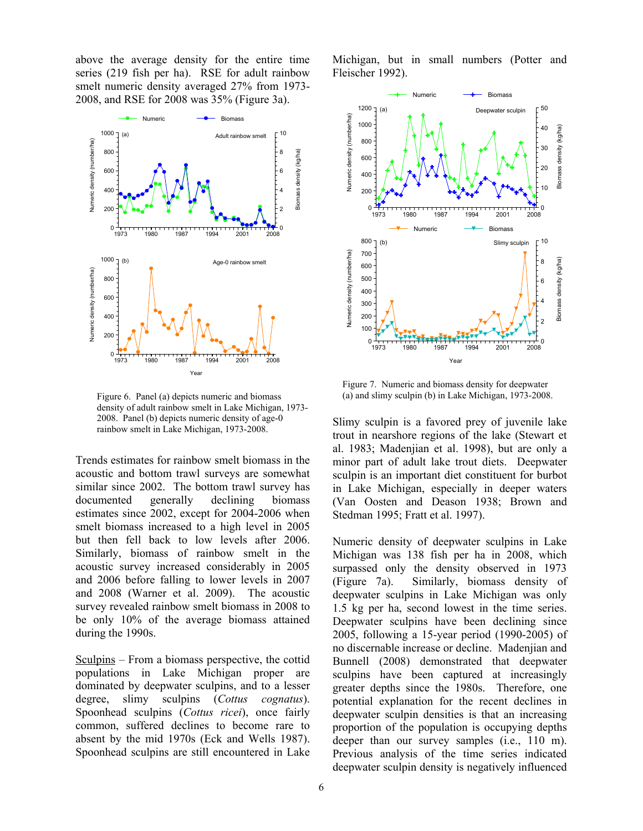above the average density for the entire time series (219 fish per ha). RSE for adult rainbow smelt numeric density averaged 27% from 1973- 2008, and RSE for 2008 was 35% (Figure 3a).



density of adult rainbow smelt in Lake Michigan, 1973- 2008. Panel (b) depicts numeric density of age-0 rainbow smelt in Lake Michigan, 1973-2008.

Trends estimates for rainbow smelt biomass in the acoustic and bottom trawl surveys are somewhat similar since 2002. The bottom trawl survey has documented generally declining biomass estimates since 2002, except for 2004-2006 when smelt biomass increased to a high level in 2005 but then fell back to low levels after 2006. Similarly, biomass of rainbow smelt in the acoustic survey increased considerably in 2005 and 2006 before falling to lower levels in 2007 and 2008 (Warner et al. 2009). The acoustic survey revealed rainbow smelt biomass in 2008 to be only 10% of the average biomass attained during the 1990s.

Sculpins – From a biomass perspective, the cottid populations in Lake Michigan proper are dominated by deepwater sculpins, and to a lesser degree, slimy sculpins (*Cottus cognatus*). Spoonhead sculpins (*Cottus ricei*), once fairly common, suffered declines to become rare to absent by the mid 1970s (Eck and Wells 1987). Spoonhead sculpins are still encountered in Lake

Michigan, but in small numbers (Potter and Fleischer 1992).



Figure 7. Numeric and biomass density for deepwater Figure 6. Panel (a) depicts numeric and biomass (a) and slimy sculpin (b) in Lake Michigan, 1973-2008.

Slimy sculpin is a favored prey of juvenile lake trout in nearshore regions of the lake (Stewart et al. 1983; Madenjian et al. 1998), but are only a minor part of adult lake trout diets. Deepwater sculpin is an important diet constituent for burbot in Lake Michigan, especially in deeper waters (Van Oosten and Deason 1938; Brown and Stedman 1995; Fratt et al. 1997).

Numeric density of deepwater sculpins in Lake Michigan was 138 fish per ha in 2008, which surpassed only the density observed in 1973 (Figure 7a). Similarly, biomass density of deepwater sculpins in Lake Michigan was only 1.5 kg per ha, second lowest in the time series. Deepwater sculpins have been declining since 2005, following a 15-year period (1990-2005) of no discernable increase or decline. Madenjian and Bunnell (2008) demonstrated that deepwater sculpins have been captured at increasingly greater depths since the 1980s. Therefore, one potential explanation for the recent declines in deepwater sculpin densities is that an increasing proportion of the population is occupying depths deeper than our survey samples (i.e., 110 m). Previous analysis of the time series indicated deepwater sculpin density is negatively influenced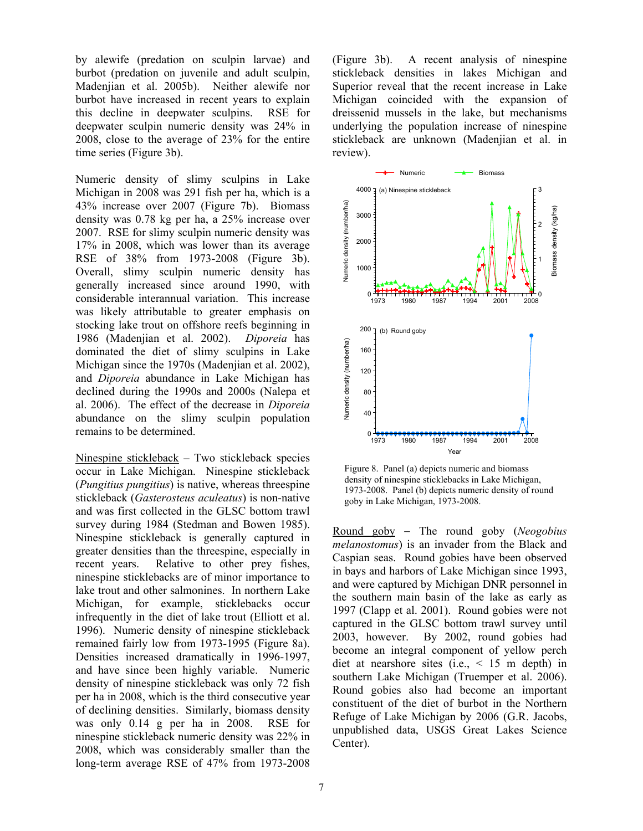by alewife (predation on sculpin larvae) and burbot (predation on juvenile and adult sculpin, Madenjian et al. 2005b). Neither alewife nor burbot have increased in recent years to explain this decline in deepwater sculpins. RSE for deepwater sculpin numeric density was 24% in 2008, close to the average of 23% for the entire time series (Figure 3b).

Numeric density of slimy sculpins in Lake Michigan in 2008 was 291 fish per ha, which is a 43% increase over 2007 (Figure 7b). Biomass density was 0.78 kg per ha, a 25% increase over 2007. RSE for slimy sculpin numeric density was 17% in 2008, which was lower than its average RSE of 38% from 1973-2008 (Figure 3b). Overall, slimy sculpin numeric density has generally increased since around 1990, with considerable interannual variation. This increase was likely attributable to greater emphasis on stocking lake trout on offshore reefs beginning in 1986 (Madenjian et al. 2002). *Diporeia* has dominated the diet of slimy sculpins in Lake Michigan since the 1970s (Madenjian et al. 2002), and *Diporeia* abundance in Lake Michigan has declined during the 1990s and 2000s (Nalepa et al. 2006). The effect of the decrease in *Diporeia* abundance on the slimy sculpin population remains to be determined.

Ninespine stickleback – Two stickleback species occur in Lake Michigan. Ninespine stickleback (*Pungitius pungitius*) is native, whereas threespine stickleback (*Gasterosteus aculeatus*) is non-native and was first collected in the GLSC bottom trawl survey during 1984 (Stedman and Bowen 1985). Ninespine stickleback is generally captured in greater densities than the threespine, especially in recent years. Relative to other prey fishes, ninespine sticklebacks are of minor importance to lake trout and other salmonines. In northern Lake Michigan, for example, sticklebacks occur infrequently in the diet of lake trout (Elliott et al. 1996). Numeric density of ninespine stickleback remained fairly low from 1973-1995 (Figure 8a). Densities increased dramatically in 1996-1997, and have since been highly variable. Numeric density of ninespine stickleback was only 72 fish per ha in 2008, which is the third consecutive year of declining densities. Similarly, biomass density was only 0.14 g per ha in 2008. RSE for ninespine stickleback numeric density was 22% in 2008, which was considerably smaller than the long-term average RSE of 47% from 1973-2008

(Figure 3b). A recent analysis of ninespine stickleback densities in lakes Michigan and Superior reveal that the recent increase in Lake Michigan coincided with the expansion of dreissenid mussels in the lake, but mechanisms underlying the population increase of ninespine stickleback are unknown (Madenjian et al. in review).



Figure 8. Panel (a) depicts numeric and biomass density of ninespine sticklebacks in Lake Michigan, 1973-2008. Panel (b) depicts numeric density of round goby in Lake Michigan, 1973-2008.

Round goby − The round goby (*Neogobius melanostomus*) is an invader from the Black and Caspian seas. Round gobies have been observed in bays and harbors of Lake Michigan since 1993, and were captured by Michigan DNR personnel in the southern main basin of the lake as early as 1997 (Clapp et al. 2001). Round gobies were not captured in the GLSC bottom trawl survey until 2003, however. By 2002, round gobies had become an integral component of yellow perch diet at nearshore sites (i.e.,  $\leq$  15 m depth) in southern Lake Michigan (Truemper et al. 2006). Round gobies also had become an important constituent of the diet of burbot in the Northern Refuge of Lake Michigan by 2006 (G.R. Jacobs, unpublished data, USGS Great Lakes Science Center).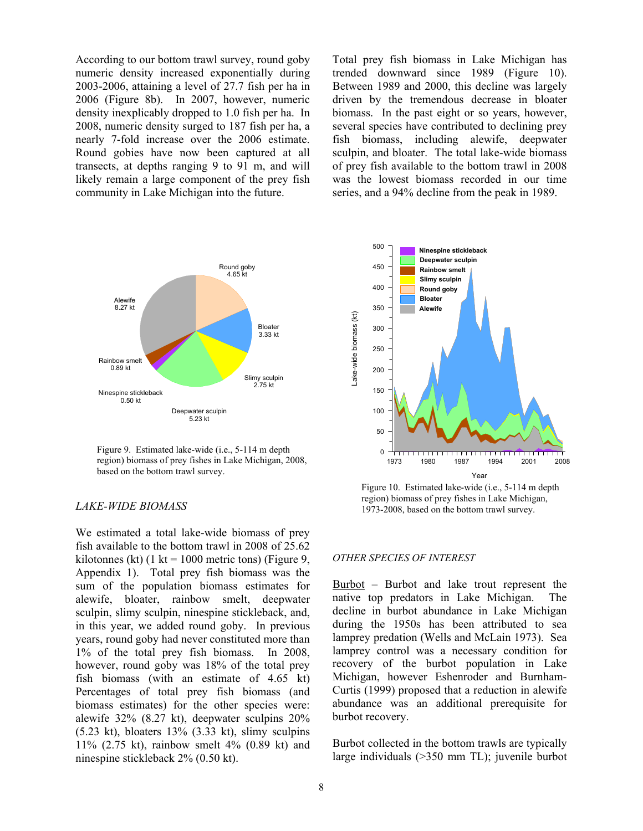According to our bottom trawl survey, round goby numeric density increased exponentially during 2003-2006, attaining a level of 27.7 fish per ha in 2006 (Figure 8b). In 2007, however, numeric density inexplicably dropped to 1.0 fish per ha. In 2008, numeric density surged to 187 fish per ha, a nearly 7-fold increase over the 2006 estimate. Round gobies have now been captured at all transects, at depths ranging 9 to 91 m, and will likely remain a large component of the prey fish community in Lake Michigan into the future.

Deepwater sculpin 5.23 kt Slimy sculpin 2.75 kt Bloater 3.33 kt Rainbow smelt 0.89 kt Ninespine stickleback 0.50 kt Alewife 8.27 kt Round goby 4.65 kt

Figure 9. Estimated lake-wide (i.e., 5-114 m depth region) biomass of prey fishes in Lake Michigan, 2008, based on the bottom trawl survey.

## *LAKE-WIDE BIOMASS*

We estimated a total lake-wide biomass of prey fish available to the bottom trawl in 2008 of 25.62 kilotonnes (kt) (1 kt = 1000 metric tons) (Figure 9, Appendix 1). Total prey fish biomass was the sum of the population biomass estimates for alewife, bloater, rainbow smelt, deepwater sculpin, slimy sculpin, ninespine stickleback, and, in this year, we added round goby. In previous years, round goby had never constituted more than 1% of the total prey fish biomass. In 2008, however, round goby was 18% of the total prey fish biomass (with an estimate of 4.65 kt) Percentages of total prey fish biomass (and biomass estimates) for the other species were: alewife 32% (8.27 kt), deepwater sculpins 20%  $(5.23 \text{ kt})$ , bloaters 13%  $(3.33 \text{ kt})$ , slimy sculpins 11% (2.75 kt), rainbow smelt 4% (0.89 kt) and ninespine stickleback 2% (0.50 kt).

8

Total prey fish biomass in Lake Michigan has trended downward since 1989 (Figure 10). Between 1989 and 2000, this decline was largely driven by the tremendous decrease in bloater biomass. In the past eight or so years, however, several species have contributed to declining prey fish biomass, including alewife, deepwater sculpin, and bloater. The total lake-wide biomass of prey fish available to the bottom trawl in 2008 was the lowest biomass recorded in our time series, and a 94% decline from the peak in 1989.



Figure 10. Estimated lake-wide (i.e., 5-114 m depth region) biomass of prey fishes in Lake Michigan, 1973-2008, based on the bottom trawl survey.

#### *OTHER SPECIES OF INTEREST*

Burbot – Burbot and lake trout represent the native top predators in Lake Michigan. The decline in burbot abundance in Lake Michigan during the 1950s has been attributed to sea lamprey predation (Wells and McLain 1973). Sea lamprey control was a necessary condition for recovery of the burbot population in Lake Michigan, however Eshenroder and Burnham-Curtis (1999) proposed that a reduction in alewife abundance was an additional prerequisite for burbot recovery.

Burbot collected in the bottom trawls are typically large individuals (>350 mm TL); juvenile burbot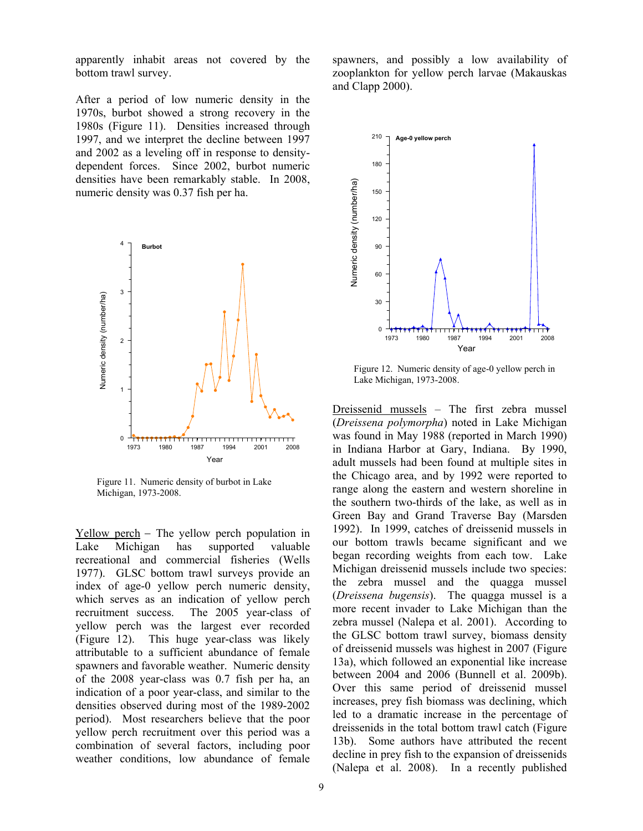apparently inhabit areas not covered by the bottom trawl survey.

After a period of low numeric density in the 1970s, burbot showed a strong recovery in the 1980s (Figure 11). Densities increased through 1997, and we interpret the decline between 1997 and 2002 as a leveling off in response to densitydependent forces. Since 2002, burbot numeric densities have been remarkably stable. In 2008, numeric density was 0.37 fish per ha.



Figure 11. Numeric density of burbot in Lake Michigan, 1973-2008.

Yellow perch − The yellow perch population in Lake Michigan has supported valuable recreational and commercial fisheries (Wells 1977). GLSC bottom trawl surveys provide an index of age-0 yellow perch numeric density, which serves as an indication of yellow perch recruitment success. The 2005 year-class of yellow perch was the largest ever recorded (Figure 12). This huge year-class was likely attributable to a sufficient abundance of female spawners and favorable weather. Numeric density of the 2008 year-class was 0.7 fish per ha, an indication of a poor year-class, and similar to the densities observed during most of the 1989-2002 period). Most researchers believe that the poor yellow perch recruitment over this period was a combination of several factors, including poor weather conditions, low abundance of female spawners, and possibly a low availability of zooplankton for yellow perch larvae (Makauskas and Clapp 2000).



Figure 12. Numeric density of age-0 yellow perch in Lake Michigan, 1973-2008.

Dreissenid mussels – The first zebra mussel (*Dreissena polymorpha*) noted in Lake Michigan was found in May 1988 (reported in March 1990) in Indiana Harbor at Gary, Indiana. By 1990, adult mussels had been found at multiple sites in the Chicago area, and by 1992 were reported to range along the eastern and western shoreline in the southern two-thirds of the lake, as well as in Green Bay and Grand Traverse Bay (Marsden 1992). In 1999, catches of dreissenid mussels in our bottom trawls became significant and we began recording weights from each tow. Lake Michigan dreissenid mussels include two species: the zebra mussel and the quagga mussel (*Dreissena bugensis*). The quagga mussel is a more recent invader to Lake Michigan than the zebra mussel (Nalepa et al. 2001). According to the GLSC bottom trawl survey, biomass density of dreissenid mussels was highest in 2007 (Figure 13a), which followed an exponential like increase between 2004 and 2006 (Bunnell et al. 2009b). Over this same period of dreissenid mussel increases, prey fish biomass was declining, which led to a dramatic increase in the percentage of dreissenids in the total bottom trawl catch (Figure 13b). Some authors have attributed the recent decline in prey fish to the expansion of dreissenids (Nalepa et al. 2008). In a recently published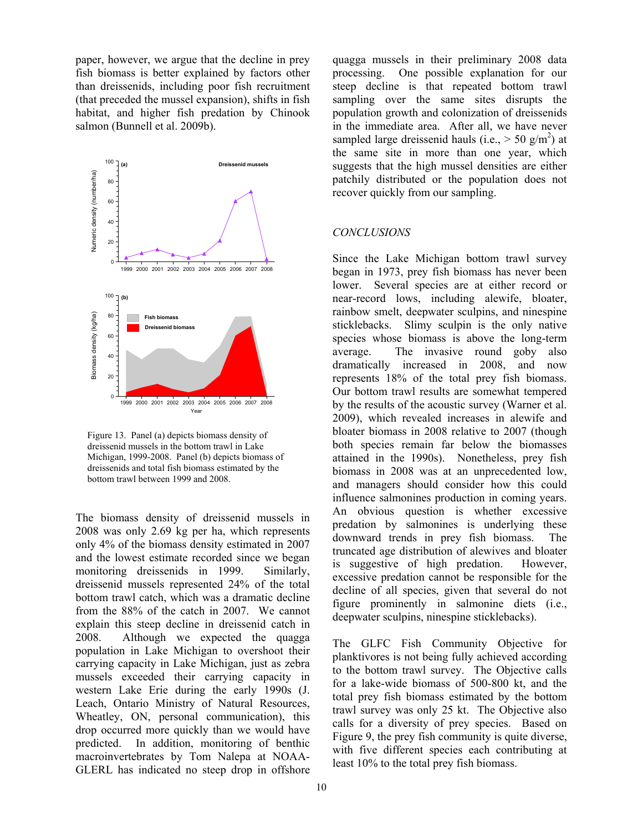paper, however, we argue that the decline in prey fish biomass is better explained by factors other than dreissenids, including poor fish recruitment (that preceded the mussel expansion), shifts in fish habitat, and higher fish predation by Chinook salmon (Bunnell et al. 2009b).



Figure 13. Panel (a) depicts biomass density of dreissenid mussels in the bottom trawl in Lake Michigan, 1999-2008. Panel (b) depicts biomass of dreissenids and total fish biomass estimated by the bottom trawl between 1999 and 2008.

The biomass density of dreissenid mussels in 2008 was only 2.69 kg per ha, which represents only 4% of the biomass density estimated in 2007 and the lowest estimate recorded since we began monitoring dreissenids in 1999. Similarly, dreissenid mussels represented 24% of the total bottom trawl catch, which was a dramatic decline from the 88% of the catch in 2007. We cannot explain this steep decline in dreissenid catch in 2008. Although we expected the quagga population in Lake Michigan to overshoot their carrying capacity in Lake Michigan, just as zebra mussels exceeded their carrying capacity in western Lake Erie during the early 1990s (J. Leach, Ontario Ministry of Natural Resources, Wheatley, ON, personal communication), this drop occurred more quickly than we would have predicted. In addition, monitoring of benthic macroinvertebrates by Tom Nalepa at NOAA-GLERL has indicated no steep drop in offshore quagga mussels in their preliminary 2008 data processing. One possible explanation for our steep decline is that repeated bottom trawl sampling over the same sites disrupts the population growth and colonization of dreissenids in the immediate area. After all, we have never sampled large dreissenid hauls (i.e.,  $>$  50 g/m<sup>2</sup>) at the same site in more than one year, which suggests that the high mussel densities are either patchily distributed or the population does not recover quickly from our sampling.

# *CONCLUSIONS*

Since the Lake Michigan bottom trawl survey began in 1973, prey fish biomass has never been lower. Several species are at either record or near-record lows, including alewife, bloater, rainbow smelt, deepwater sculpins, and ninespine sticklebacks. Slimy sculpin is the only native species whose biomass is above the long-term average. The invasive round goby also dramatically increased in 2008, and now represents 18% of the total prey fish biomass. Our bottom trawl results are somewhat tempered by the results of the acoustic survey (Warner et al. 2009), which revealed increases in alewife and bloater biomass in 2008 relative to 2007 (though both species remain far below the biomasses attained in the 1990s). Nonetheless, prey fish biomass in 2008 was at an unprecedented low, and managers should consider how this could influence salmonines production in coming years. An obvious question is whether excessive predation by salmonines is underlying these downward trends in prey fish biomass. The truncated age distribution of alewives and bloater is suggestive of high predation. However, excessive predation cannot be responsible for the decline of all species, given that several do not figure prominently in salmonine diets (i.e., deepwater sculpins, ninespine sticklebacks).

The GLFC Fish Community Objective for planktivores is not being fully achieved according to the bottom trawl survey. The Objective calls for a lake-wide biomass of 500-800 kt, and the total prey fish biomass estimated by the bottom trawl survey was only 25 kt. The Objective also calls for a diversity of prey species. Based on Figure 9, the prey fish community is quite diverse, with five different species each contributing at least 10% to the total prey fish biomass.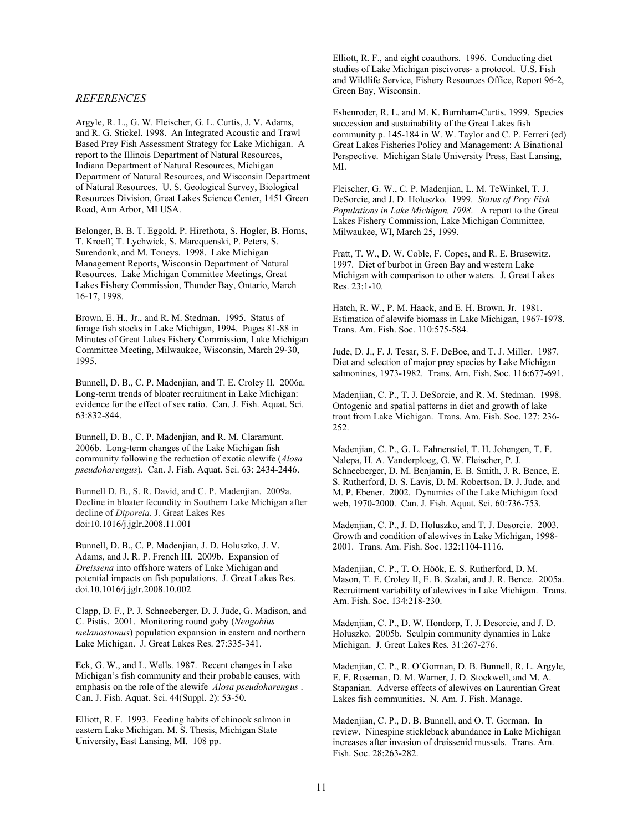#### *REFERENCES*

Argyle, R. L., G. W. Fleischer, G. L. Curtis, J. V. Adams, and R. G. Stickel. 1998. An Integrated Acoustic and Trawl Based Prey Fish Assessment Strategy for Lake Michigan. A report to the Illinois Department of Natural Resources, Indiana Department of Natural Resources, Michigan Department of Natural Resources, and Wisconsin Department of Natural Resources. U. S. Geological Survey, Biological Resources Division, Great Lakes Science Center, 1451 Green Road, Ann Arbor, MI USA.

Belonger, B. B. T. Eggold, P. Hirethota, S. Hogler, B. Horns, T. Kroeff, T. Lychwick, S. Marcquenski, P. Peters, S. Surendonk, and M. Toneys. 1998. Lake Michigan Management Reports, Wisconsin Department of Natural Resources. Lake Michigan Committee Meetings, Great Lakes Fishery Commission, Thunder Bay, Ontario, March 16-17, 1998.

Brown, E. H., Jr., and R. M. Stedman. 1995. Status of forage fish stocks in Lake Michigan, 1994. Pages 81-88 in Minutes of Great Lakes Fishery Commission, Lake Michigan Committee Meeting, Milwaukee, Wisconsin, March 29-30, 1995.

Bunnell, D. B., C. P. Madenjian, and T. E. Croley II. 2006a. Long-term trends of bloater recruitment in Lake Michigan: evidence for the effect of sex ratio. Can. J. Fish. Aquat. Sci. 63:832-844.

Bunnell, D. B., C. P. Madenjian, and R. M. Claramunt. 2006b. Long-term changes of the Lake Michigan fish community following the reduction of exotic alewife (*Alosa pseudoharengus*). Can. J. Fish. Aquat. Sci. 63: 2434-2446.

Bunnell D. B., S. R. David, and C. P. Madenjian. 2009a. Decline in bloater fecundity in Southern Lake Michigan after decline of *Diporeia*. J. Great Lakes Res doi:10.1016/j.jglr.2008.11.001

Bunnell, D. B., C. P. Madenjian, J. D. Holuszko, J. V. Adams, and J. R. P. French III. 2009b. Expansion of *Dreissena* into offshore waters of Lake Michigan and potential impacts on fish populations. J. Great Lakes Res. doi.10.1016/j.jglr.2008.10.002

Clapp, D. F., P. J. Schneeberger, D. J. Jude, G. Madison, and C. Pistis. 2001. Monitoring round goby (*Neogobius melanostomus*) population expansion in eastern and northern Lake Michigan. J. Great Lakes Res. 27:335-341.

Eck, G. W., and L. Wells. 1987. Recent changes in Lake Michigan's fish community and their probable causes, with emphasis on the role of the alewife *Alosa pseudoharengus* . Can. J. Fish. Aquat. Sci. 44(Suppl. 2): 53-50.

Elliott, R. F. 1993. Feeding habits of chinook salmon in eastern Lake Michigan. M. S. Thesis, Michigan State University, East Lansing, MI. 108 pp.

Elliott, R. F., and eight coauthors. 1996. Conducting diet studies of Lake Michigan piscivores- a protocol. U.S. Fish and Wildlife Service, Fishery Resources Office, Report 96-2, Green Bay, Wisconsin.

Eshenroder, R. L. and M. K. Burnham-Curtis. 1999. Species succession and sustainability of the Great Lakes fish community p. 145-184 in W. W. Taylor and C. P. Ferreri (ed) Great Lakes Fisheries Policy and Management: A Binational Perspective. Michigan State University Press, East Lansing, MI.

Fleischer, G. W., C. P. Madenjian, L. M. TeWinkel, T. J. DeSorcie, and J. D. Holuszko. 1999. *Status of Prey Fish Populations in Lake Michigan, 1998*. A report to the Great Lakes Fishery Commission, Lake Michigan Committee, Milwaukee, WI, March 25, 1999.

Fratt, T. W., D. W. Coble, F. Copes, and R. E. Brusewitz. 1997. Diet of burbot in Green Bay and western Lake Michigan with comparison to other waters. J. Great Lakes Res. 23:1-10.

Hatch, R. W., P. M. Haack, and E. H. Brown, Jr. 1981. Estimation of alewife biomass in Lake Michigan, 1967-1978. Trans. Am. Fish. Soc. 110:575-584.

Jude, D. J., F. J. Tesar, S. F. DeBoe, and T. J. Miller. 1987. Diet and selection of major prey species by Lake Michigan salmonines, 1973-1982. Trans. Am. Fish. Soc. 116:677-691.

Madenjian, C. P., T. J. DeSorcie, and R. M. Stedman. 1998. Ontogenic and spatial patterns in diet and growth of lake trout from Lake Michigan. Trans. Am. Fish. Soc. 127: 236- 252.

Madenjian, C. P., G. L. Fahnenstiel, T. H. Johengen, T. F. Nalepa, H. A. Vanderploeg, G. W. Fleischer, P. J. Schneeberger, D. M. Benjamin, E. B. Smith, J. R. Bence, E. S. Rutherford, D. S. Lavis, D. M. Robertson, D. J. Jude, and M. P. Ebener. 2002. Dynamics of the Lake Michigan food web, 1970-2000. Can. J. Fish. Aquat. Sci. 60:736-753.

Madenjian, C. P., J. D. Holuszko, and T. J. Desorcie. 2003. Growth and condition of alewives in Lake Michigan, 1998- 2001. Trans. Am. Fish. Soc. 132:1104-1116.

Madenjian, C. P., T. O. Höök, E. S. Rutherford, D. M. Mason, T. E. Croley II, E. B. Szalai, and J. R. Bence. 2005a. Recruitment variability of alewives in Lake Michigan. Trans. Am. Fish. Soc. 134:218-230.

Madenjian, C. P., D. W. Hondorp, T. J. Desorcie, and J. D. Holuszko. 2005b. Sculpin community dynamics in Lake Michigan. J. Great Lakes Res. 31:267-276.

Madenjian, C. P., R. O'Gorman, D. B. Bunnell, R. L. Argyle, E. F. Roseman, D. M. Warner, J. D. Stockwell, and M. A. Stapanian. Adverse effects of alewives on Laurentian Great Lakes fish communities. N. Am. J. Fish. Manage.

Madenjian, C. P., D. B. Bunnell, and O. T. Gorman. In review. Ninespine stickleback abundance in Lake Michigan increases after invasion of dreissenid mussels. Trans. Am. Fish. Soc. 28:263-282.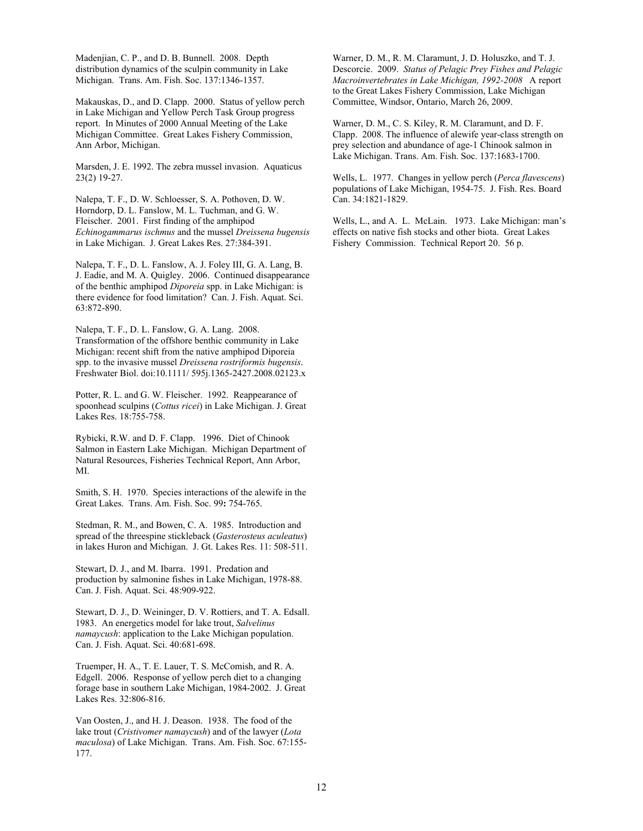Madenjian, C. P., and D. B. Bunnell. 2008. Depth distribution dynamics of the sculpin community in Lake Michigan. Trans. Am. Fish. Soc. 137:1346-1357.

Makauskas, D., and D. Clapp. 2000. Status of yellow perch in Lake Michigan and Yellow Perch Task Group progress report. In Minutes of 2000 Annual Meeting of the Lake Michigan Committee. Great Lakes Fishery Commission, Ann Arbor, Michigan.

Marsden, J. E. 1992. The zebra mussel invasion. Aquaticus 23(2) 19-27.

Nalepa, T. F., D. W. Schloesser, S. A. Pothoven, D. W. Horndorp, D. L. Fanslow, M. L. Tuchman, and G. W. Fleischer. 2001. First finding of the amphipod *Echinogammarus ischmus* and the mussel *Dreissena bugensis* in Lake Michigan. J. Great Lakes Res. 27:384-391.

Nalepa, T. F., D. L. Fanslow, A. J. Foley III, G. A. Lang, B. J. Eadie, and M. A. Quigley. 2006. Continued disappearance of the benthic amphipod *Diporeia* spp. in Lake Michigan: is there evidence for food limitation? Can. J. Fish. Aquat. Sci. 63:872-890.

Nalepa, T. F., D. L. Fanslow, G. A. Lang. 2008. Transformation of the offshore benthic community in Lake Michigan: recent shift from the native amphipod Diporeia spp. to the invasive mussel *Dreissena rostriformis bugensis*. Freshwater Biol. doi:10.1111/ 595j.1365-2427.2008.02123.x

Potter, R. L. and G. W. Fleischer. 1992. Reappearance of spoonhead sculpins (*Cottus ricei*) in Lake Michigan. J. Great Lakes Res. 18:755-758.

Rybicki, R.W. and D. F. Clapp. 1996. Diet of Chinook Salmon in Eastern Lake Michigan. Michigan Department of Natural Resources, Fisheries Technical Report, Ann Arbor, MI.

Smith, S. H. 1970. Species interactions of the alewife in the Great Lakes. Trans. Am. Fish. Soc. 99**:** 754-765.

Stedman, R. M., and Bowen, C. A. 1985. Introduction and spread of the threespine stickleback (*Gasterosteus aculeatus*) in lakes Huron and Michigan. J. Gt. Lakes Res. 11: 508-511.

Stewart, D. J., and M. Ibarra. 1991. Predation and production by salmonine fishes in Lake Michigan, 1978-88. Can. J. Fish. Aquat. Sci. 48:909-922.

Stewart, D. J., D. Weininger, D. V. Rottiers, and T. A. Edsall. 1983. An energetics model for lake trout, *Salvelinus namaycush*: application to the Lake Michigan population. Can. J. Fish. Aquat. Sci. 40:681-698.

Truemper, H. A., T. E. Lauer, T. S. McComish, and R. A. Edgell. 2006. Response of yellow perch diet to a changing forage base in southern Lake Michigan, 1984-2002. J. Great Lakes Res. 32:806-816.

Van Oosten, J., and H. J. Deason. 1938. The food of the lake trout (*Cristivomer namaycush*) and of the lawyer (*Lota maculosa*) of Lake Michigan. Trans. Am. Fish. Soc. 67:155- 177.

Warner, D. M., R. M. Claramunt, J. D. Holuszko, and T. J. Descorcie. 2009. *Status of Pelagic Prey Fishes and Pelagic Macroinvertebrates in Lake Michigan, 1992-2008* A report to the Great Lakes Fishery Commission, Lake Michigan Committee, Windsor, Ontario, March 26, 2009.

Warner, D. M., C. S. Kiley, R. M. Claramunt, and D. F. Clapp. 2008. The influence of alewife year-class strength on prey selection and abundance of age-1 Chinook salmon in Lake Michigan. Trans. Am. Fish. Soc. 137:1683-1700.

Wells, L. 1977. Changes in yellow perch (*Perca flavescens*) populations of Lake Michigan, 1954-75. J. Fish. Res. Board Can. 34:1821-1829.

Wells, L., and A. L. McLain. 1973. Lake Michigan: man's effects on native fish stocks and other biota. Great Lakes Fishery Commission. Technical Report 20. 56 p.